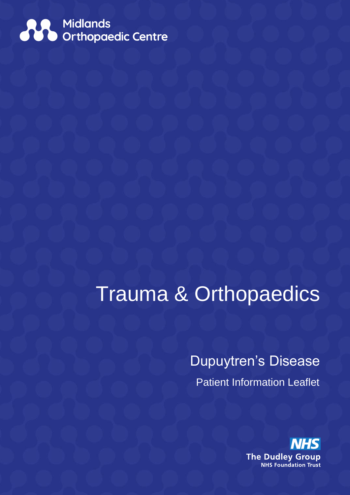

# Trauma & Orthopaedics

Dupuytren's Disease Patient Information Leaflet

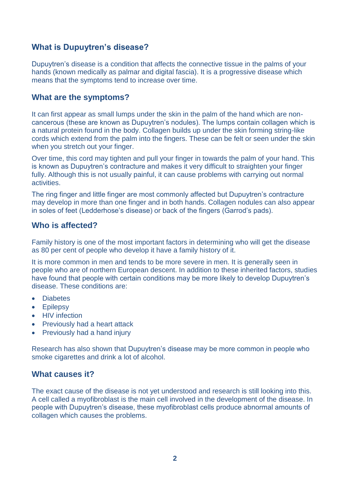# **What is Dupuytren's disease?**

Dupuytren's disease is a condition that affects the connective tissue in the palms of your hands (known medically as palmar and digital fascia). It is a progressive disease which means that the symptoms tend to increase over time.

## **What are the symptoms?**

It can first appear as small lumps under the skin in the palm of the hand which are noncancerous (these are known as Dupuytren's nodules). The lumps contain collagen which is a natural protein found in the body. Collagen builds up under the skin forming string-like cords which extend from the palm into the fingers. These can be felt or seen under the skin when you stretch out your finger.

Over time, this cord may tighten and pull your finger in towards the palm of your hand. This is known as Dupuytren's contracture and makes it very difficult to straighten your finger fully. Although this is not usually painful, it can cause problems with carrying out normal activities.

The ring finger and little finger are most commonly affected but Dupuytren's contracture may develop in more than one finger and in both hands. Collagen nodules can also appear in soles of feet (Ledderhose's disease) or back of the fingers (Garrod's pads).

## **Who is affected?**

Family history is one of the most important factors in determining who will get the disease as 80 per cent of people who develop it have a family history of it.

It is more common in men and tends to be more severe in men. It is generally seen in people who are of northern European descent. In addition to these inherited factors, studies have found that people with certain conditions may be more likely to develop Dupuytren's disease. These conditions are:

- **Diabetes**
- Epilepsy
- HIV infection
- Previously had a heart attack
- Previously had a hand injury

Research has also shown that Dupuytren's disease may be more common in people who smoke cigarettes and drink a lot of alcohol.

# **What causes it?**

The exact cause of the disease is not yet understood and research is still looking into this. A cell called a myofibroblast is the main cell involved in the development of the disease. In people with Dupuytren's disease, these myofibroblast cells produce abnormal amounts of collagen which causes the problems.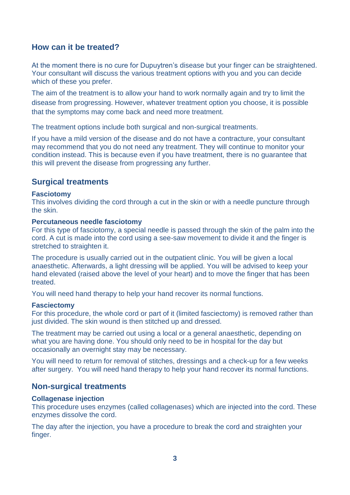# **How can it be treated?**

At the moment there is no cure for Dupuytren's disease but your finger can be straightened. Your consultant will discuss the various treatment options with you and you can decide which of these you prefer.

The aim of the treatment is to allow your hand to work normally again and try to limit the disease from progressing. However, whatever treatment option you choose, it is possible that the symptoms may come back and need more treatment.

The treatment options include both surgical and non-surgical treatments.

If you have a mild version of the disease and do not have a contracture, your consultant may recommend that you do not need any treatment. They will continue to monitor your condition instead. This is because even if you have treatment, there is no guarantee that this will prevent the disease from progressing any further.

## **Surgical treatments**

### **Fasciotomy**

This involves dividing the cord through a cut in the skin or with a needle puncture through the skin.

### **Percutaneous needle fasciotomy**

For this type of fasciotomy, a special needle is passed through the skin of the palm into the cord. A cut is made into the cord using a see-saw movement to divide it and the finger is stretched to straighten it.

The procedure is usually carried out in the outpatient clinic. You will be given a local anaesthetic. Afterwards, a light dressing will be applied. You will be advised to keep your hand elevated (raised above the level of your heart) and to move the finger that has been treated.

You will need hand therapy to help your hand recover its normal functions.

#### **Fasciectomy**

For this procedure, the whole cord or part of it (limited fasciectomy) is removed rather than just divided. The skin wound is then stitched up and dressed.

The treatment may be carried out using a local or a general anaesthetic, depending on what you are having done. You should only need to be in hospital for the day but occasionally an overnight stay may be necessary.

You will need to return for removal of stitches, dressings and a check-up for a few weeks after surgery. You will need hand therapy to help your hand recover its normal functions.

## **Non-surgical treatments**

### **Collagenase injection**

This procedure uses enzymes (called collagenases) which are injected into the cord. These enzymes dissolve the cord.

The day after the injection, you have a procedure to break the cord and straighten your finger.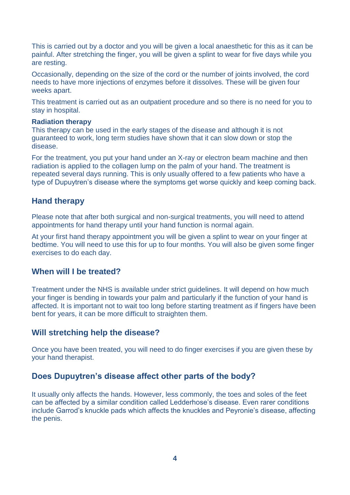This is carried out by a doctor and you will be given a local anaesthetic for this as it can be painful. After stretching the finger, you will be given a splint to wear for five days while you are resting.

Occasionally, depending on the size of the cord or the number of joints involved, the cord needs to have more injections of enzymes before it dissolves. These will be given four weeks apart.

This treatment is carried out as an outpatient procedure and so there is no need for you to stay in hospital.

#### **Radiation therapy**

This therapy can be used in the early stages of the disease and although it is not guaranteed to work, long term studies have shown that it can slow down or stop the disease.

For the treatment, you put your hand under an X-ray or electron beam machine and then radiation is applied to the collagen lump on the palm of your hand. The treatment is repeated several days running. This is only usually offered to a few patients who have a type of Dupuytren's disease where the symptoms get worse quickly and keep coming back.

## **Hand therapy**

Please note that after both surgical and non-surgical treatments, you will need to attend appointments for hand therapy until your hand function is normal again.

At your first hand therapy appointment you will be given a splint to wear on your finger at bedtime. You will need to use this for up to four months. You will also be given some finger exercises to do each day.

## **When will I be treated?**

Treatment under the NHS is available under strict guidelines. It will depend on how much your finger is bending in towards your palm and particularly if the function of your hand is affected. It is important not to wait too long before starting treatment as if fingers have been bent for years, it can be more difficult to straighten them.

## **Will stretching help the disease?**

Once you have been treated, you will need to do finger exercises if you are given these by your hand therapist.

## **Does Dupuytren's disease affect other parts of the body?**

It usually only affects the hands. However, less commonly, the toes and soles of the feet can be affected by a similar condition called Ledderhose's disease. Even rarer conditions include Garrod's knuckle pads which affects the knuckles and Peyronie's disease, affecting the penis.